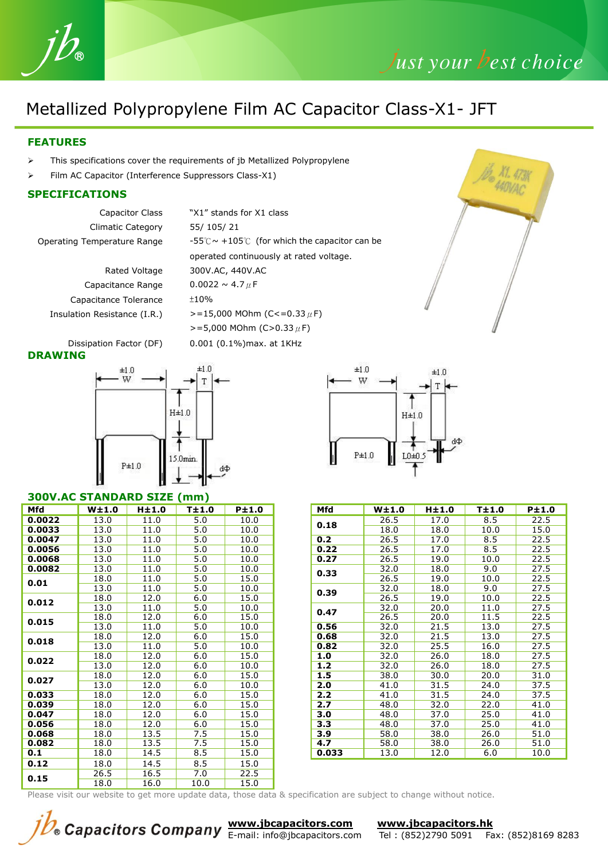

## Just your best choice

### Metallized Polypropylene Film AC Capacitor Class-X1- JFT

### **FEATURES**

- > This specifications cover the requirements of jb Metallized Polypropylene
- Film AC Capacitor (Interference Suppressors Class-X1)

#### **SPECIFICATIONS**

- Climatic Category 55/ 105/ 21
	- Capacitance Range  $0.0022 \sim 4.7 \mu$ F Capacitance Tolerance ±10%
- Capacitor Class "X1" stands for X1 class Operating Temperature Range -55℃~ +105℃ (for which the capacitor can be operated continuously at rated voltage. Rated Voltage 300V.AC, 440V.AC Insulation Resistance (I.R.)  $> = 15,000$  MOhm (C<=0.33 $\mu$ F)  $>=$ 5,000 MOhm (C>0.33  $\mu$ F)
- Dissipation Factor (DF) 0.001 (0.1%)max. at 1KHz **DRAWING**



#### **300V.AC STANDARD SIZE (mm)**

| Mfd    | W±1.0 | $H\pm1.0$ | $T\pm1.0$ | P±1.0 | Mfd   | W±1.0 | H±1.0 | T±1.0 | P±1.0 |
|--------|-------|-----------|-----------|-------|-------|-------|-------|-------|-------|
| 0.0022 | 13.0  | 11.0      | 5.0       | 10.0  | 0.18  | 26.5  | 17.0  | 8.5   | 22.5  |
| 0.0033 | 13.0  | 11.0      | 5.0       | 10.0  |       | 18.0  | 18.0  | 10.0  | 15.0  |
| 0.0047 | 13.0  | 11.0      | 5.0       | 10.0  | 0.2   | 26.5  | 17.0  | 8.5   | 22.5  |
| 0.0056 | 13.0  | 11.0      | 5.0       | 10.0  | 0.22  | 26.5  | 17.0  | 8.5   | 22.5  |
| 0.0068 | 13.0  | 11.0      | 5.0       | 10.0  | 0.27  | 26.5  | 19.0  | 10.0  | 22.5  |
| 0.0082 | 13.0  | 11.0      | 5.0       | 10.0  |       | 32.0  | 18.0  | 9.0   | 27.5  |
| 0.01   | 18.0  | 11.0      | 5.0       | 15.0  | 0.33  | 26.5  | 19.0  | 10.0  | 22.5  |
|        | 13.0  | 11.0      | 5.0       | 10.0  |       | 32.0  | 18.0  | 9.0   | 27.5  |
| 0.012  | 18.0  | 12.0      | 6.0       | 15.0  | 0.39  | 26.5  | 19.0  | 10.0  | 22.5  |
|        | 13.0  | 11.0      | 5.0       | 10.0  | 0.47  | 32.0  | 20.0  | 11.0  | 27.5  |
| 0.015  | 18.0  | 12.0      | 6.0       | 15.0  |       | 26.5  | 20.0  | 11.5  | 22.5  |
|        | 13.0  | 11.0      | 5.0       | 10.0  | 0.56  | 32.0  | 21.5  | 13.0  | 27.5  |
| 0.018  | 18.0  | 12.0      | 6.0       | 15.0  | 0.68  | 32.0  | 21.5  | 13.0  | 27.5  |
|        | 13.0  | 11.0      | 5.0       | 10.0  | 0.82  | 32.0  | 25.5  | 16.0  | 27.5  |
| 0.022  | 18.0  | 12.0      | 6.0       | 15.0  | 1.0   | 32.0  | 26.0  | 18.0  | 27.5  |
|        | 13.0  | 12.0      | 6.0       | 10.0  | $1.2$ | 32.0  | 26.0  | 18.0  | 27.5  |
| 0.027  | 18.0  | 12.0      | 6.0       | 15.0  | 1.5   | 38.0  | 30.0  | 20.0  | 31.0  |
|        | 13.0  | 12.0      | 6.0       | 10.0  | 2.0   | 41.0  | 31.5  | 24.0  | 37.5  |
| 0.033  | 18.0  | 12.0      | 6.0       | 15.0  | 2.2   | 41.0  | 31.5  | 24.0  | 37.5  |
| 0.039  | 18.0  | 12.0      | 6.0       | 15.0  | 2.7   | 48.0  | 32.0  | 22.0  | 41.0  |
| 0.047  | 18.0  | 12.0      | 6.0       | 15.0  | 3.0   | 48.0  | 37.0  | 25.0  | 41.0  |
| 0.056  | 18.0  | 12.0      | 6.0       | 15.0  | 3.3   | 48.0  | 37.0  | 25.0  | 41.0  |
| 0.068  | 18.0  | 13.5      | 7.5       | 15.0  | 3.9   | 58.0  | 38.0  | 26.0  | 51.0  |
| 0.082  | 18.0  | 13.5      | 7.5       | 15.0  | 4.7   | 58.0  | 38.0  | 26.0  | 51.0  |
| 0.1    | 18.0  | 14.5      | 8.5       | 15.0  | 0.033 | 13.0  | 12.0  | 6.0   | 10.0  |
| 0.12   | 18.0  | 14.5      | 8.5       | 15.0  |       |       |       |       |       |
| 0.15   | 26.5  | 16.5      | 7.0       | 22.5  |       |       |       |       |       |
|        | 18.0  | 16.0      | 10.0      | 15.0  |       |       |       |       |       |



| /±1.0 | $H\pm1.0$ | T±1.0 | P±1.0 |  | Mfd   | W <sub>±</sub> 1.0 | $H\pm1.0$ | T±1.0 | P±1.0 |
|-------|-----------|-------|-------|--|-------|--------------------|-----------|-------|-------|
| 13.0  | 11.0      | 5.0   | 10.0  |  | 0.18  | 26.5               | 17.0      | 8.5   | 22.5  |
| 13.0  | 11.0      | 5.0   | 10.0  |  |       | 18.0               | 18.0      | 10.0  | 15.0  |
| 13.0  | 11.0      | 5.0   | 10.0  |  | 0.2   | 26.5               | 17.0      | 8.5   | 22.5  |
| 13.0  | 11.0      | 5.0   | 10.0  |  | 0.22  | 26.5               | 17.0      | 8.5   | 22.5  |
| 13.0  | 11.0      | 5.0   | 10.0  |  | 0.27  | 26.5               | 19.0      | 10.0  | 22.5  |
| 13.0  | 11.0      | 5.0   | 10.0  |  | 0.33  | 32.0               | 18.0      | 9.0   | 27.5  |
| 18.0  | 11.0      | 5.0   | 15.0  |  |       | 26.5               | 19.0      | 10.0  | 22.5  |
| 13.0  | 11.0      | 5.0   | 10.0  |  | 0.39  | 32.0               | 18.0      | 9.0   | 27.5  |
| 18.0  | 12.0      | 6.0   | 15.0  |  |       | 26.5               | 19.0      | 10.0  | 22.5  |
| 13.0  | 11.0      | 5.0   | 10.0  |  | 0.47  | 32.0               | 20.0      | 11.0  | 27.5  |
| 18.0  | 12.0      | 6.0   | 15.0  |  |       | 26.5               | 20.0      | 11.5  | 22.5  |
| 13.0  | 11.0      | 5.0   | 10.0  |  | 0.56  | 32.0               | 21.5      | 13.0  | 27.5  |
| 18.0  | 12.0      | 6.0   | 15.0  |  | 0.68  | 32.0               | 21.5      | 13.0  | 27.5  |
| 13.0  | 11.0      | 5.0   | 10.0  |  | 0.82  | 32.0               | 25.5      | 16.0  | 27.5  |
| 18.0  | 12.0      | 6.0   | 15.0  |  | 1.0   | 32.0               | 26.0      | 18.0  | 27.5  |
| 13.0  | 12.0      | 6.0   | 10.0  |  | 1.2   | 32.0               | 26.0      | 18.0  | 27.5  |
| 18.0  | 12.0      | 6.0   | 15.0  |  | 1.5   | 38.0               | 30.0      | 20.0  | 31.0  |
| 13.0  | 12.0      | 6.0   | 10.0  |  | 2.0   | 41.0               | 31.5      | 24.0  | 37.5  |
| 18.0  | 12.0      | 6.0   | 15.0  |  | 2.2   | 41.0               | 31.5      | 24.0  | 37.5  |
| 18.0  | 12.0      | 6.0   | 15.0  |  | 2.7   | 48.0               | 32.0      | 22.0  | 41.0  |
| 18.0  | 12.0      | 6.0   | 15.0  |  | 3.0   | 48.0               | 37.0      | 25.0  | 41.0  |
| 18.0  | 12.0      | 6.0   | 15.0  |  | 3.3   | 48.0               | 37.0      | 25.0  | 41.0  |
| 18.0  | 13.5      | 7.5   | 15.0  |  | 3.9   | 58.0               | 38.0      | 26.0  | 51.0  |
| 18.0  | 13.5      | 7.5   | 15.0  |  | 4.7   | 58.0               | 38.0      | 26.0  | 51.0  |
| 18.0  | 14.5      | 8.5   | 15.0  |  | 0.033 | 13.0               | 12.0      | 6.0   | 10.0  |

Please visit our website to get more update data, those data & specification are subject to change without notice.



*Capacitors Company* **<u>[www.jbcapacitors.com](http://www.jbcapacitors.com/) [www.jbcapacitors.hk](http://www.jbcapacitors.hk/)</u><br>
<b>Capacitors Company E**-mail: info@jbcapacitors.com Tel: (852)2790 5091 Fa Tel: (852)2790 5091 Fax: (852)8169 8283